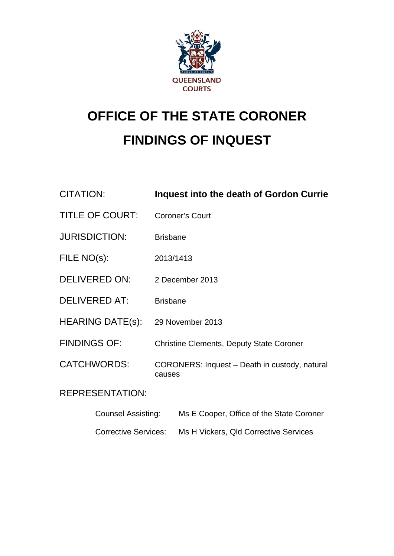

# **OFFICE OF THE STATE CORONER FINDINGS OF INQUEST**

| <b>CITATION:</b>            | Inquest into the death of Gordon Currie                 |
|-----------------------------|---------------------------------------------------------|
| <b>TITLE OF COURT:</b>      | <b>Coroner's Court</b>                                  |
| <b>JURISDICTION:</b>        | <b>Brisbane</b>                                         |
| FILE NO(s):                 | 2013/1413                                               |
| <b>DELIVERED ON:</b>        | 2 December 2013                                         |
| <b>DELIVERED AT:</b>        | <b>Brisbane</b>                                         |
| <b>HEARING DATE(s):</b>     | 29 November 2013                                        |
| <b>FINDINGS OF:</b>         | <b>Christine Clements, Deputy State Coroner</b>         |
| <b>CATCHWORDS:</b>          | CORONERS: Inquest - Death in custody, natural<br>causes |
| <b>REPRESENTATION:</b>      |                                                         |
| <b>Counsel Assisting:</b>   | Ms E Cooper, Office of the State Coroner                |
| <b>Corrective Services:</b> | Ms H Vickers, QId Corrective Services                   |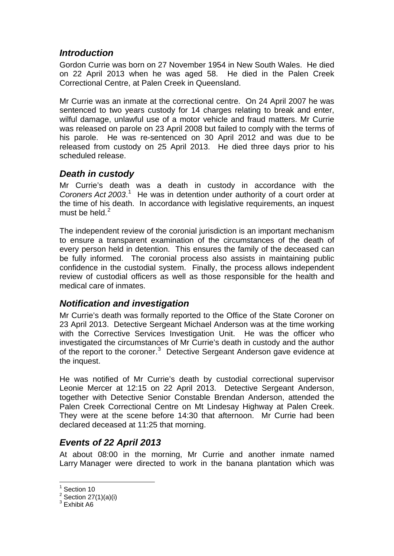## *Introduction*

Gordon Currie was born on 27 November 1954 in New South Wales. He died on 22 April 2013 when he was aged 58. He died in the Palen Creek Correctional Centre, at Palen Creek in Queensland.

Mr Currie was an inmate at the correctional centre. On 24 April 2007 he was sentenced to two years custody for 14 charges relating to break and enter, wilful damage, unlawful use of a motor vehicle and fraud matters. Mr Currie was released on parole on 23 April 2008 but failed to comply with the terms of his parole. He was re-sentenced on 30 April 2012 and was due to be released from custody on 25 April 2013. He died three days prior to his scheduled release.

## *Death in custody*

Mr Currie's death was a death in custody in accordance with the Coroners Act 2003.<sup>[1](#page-1-0)</sup> He was in detention under authority of a court order at the time of his death. In accordance with legislative requirements, an inquest must be held. $<sup>2</sup>$  $<sup>2</sup>$  $<sup>2</sup>$ </sup>

The independent review of the coronial jurisdiction is an important mechanism to ensure a transparent examination of the circumstances of the death of every person held in detention. This ensures the family of the deceased can be fully informed. The coronial process also assists in maintaining public confidence in the custodial system. Finally, the process allows independent review of custodial officers as well as those responsible for the health and medical care of inmates.

# *Notification and investigation*

Mr Currie's death was formally reported to the Office of the State Coroner on 23 April 2013. Detective Sergeant Michael Anderson was at the time working with the Corrective Services Investigation Unit. He was the officer who investigated the circumstances of Mr Currie's death in custody and the author of the report to the coroner.<sup>[3](#page-1-2)</sup> Detective Sergeant Anderson gave evidence at the inquest.

He was notified of Mr Currie's death by custodial correctional supervisor Leonie Mercer at 12:15 on 22 April 2013. Detective Sergeant Anderson, together with Detective Senior Constable Brendan Anderson, attended the Palen Creek Correctional Centre on Mt Lindesay Highway at Palen Creek. They were at the scene before 14:30 that afternoon. Mr Currie had been declared deceased at 11:25 that morning.

# *Events of 22 April 2013*

At about 08:00 in the morning, Mr Currie and another inmate named Larry Manager were directed to work in the banana plantation which was

1

<span id="page-1-0"></span><sup>&</sup>lt;sup>1</sup> Section 10

<span id="page-1-1"></span> $2$  Section 27(1)(a)(i)

<span id="page-1-2"></span><sup>&</sup>lt;sup>3</sup> Exhibit A6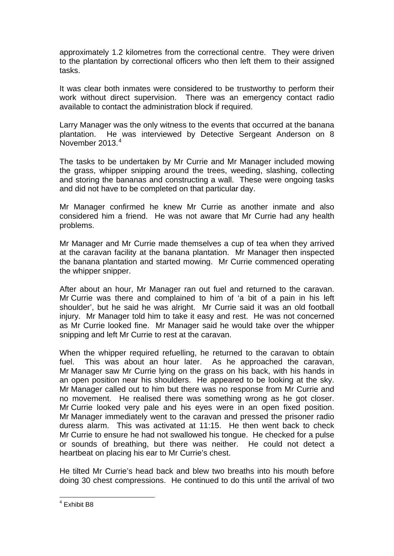approximately 1.2 kilometres from the correctional centre. They were driven to the plantation by correctional officers who then left them to their assigned tasks.

It was clear both inmates were considered to be trustworthy to perform their work without direct supervision. There was an emergency contact radio available to contact the administration block if required.

Larry Manager was the only witness to the events that occurred at the banana plantation. He was interviewed by Detective Sergeant Anderson on 8 November 2013<sup>[4](#page-1-2)</sup>

The tasks to be undertaken by Mr Currie and Mr Manager included mowing the grass, whipper snipping around the trees, weeding, slashing, collecting and storing the bananas and constructing a wall. These were ongoing tasks and did not have to be completed on that particular day.

Mr Manager confirmed he knew Mr Currie as another inmate and also considered him a friend. He was not aware that Mr Currie had any health problems.

Mr Manager and Mr Currie made themselves a cup of tea when they arrived at the caravan facility at the banana plantation. Mr Manager then inspected the banana plantation and started mowing. Mr Currie commenced operating the whipper snipper.

After about an hour, Mr Manager ran out fuel and returned to the caravan. Mr Currie was there and complained to him of 'a bit of a pain in his left shoulder', but he said he was alright. Mr Currie said it was an old football injury. Mr Manager told him to take it easy and rest. He was not concerned as Mr Currie looked fine. Mr Manager said he would take over the whipper snipping and left Mr Currie to rest at the caravan.

When the whipper required refuelling, he returned to the caravan to obtain fuel. This was about an hour later. As he approached the caravan, Mr Manager saw Mr Currie lying on the grass on his back, with his hands in an open position near his shoulders. He appeared to be looking at the sky. Mr Manager called out to him but there was no response from Mr Currie and no movement. He realised there was something wrong as he got closer. Mr Currie looked very pale and his eyes were in an open fixed position. Mr Manager immediately went to the caravan and pressed the prisoner radio duress alarm. This was activated at 11:15. He then went back to check Mr Currie to ensure he had not swallowed his tongue. He checked for a pulse or sounds of breathing, but there was neither. He could not detect a heartbeat on placing his ear to Mr Currie's chest.

He tilted Mr Currie's head back and blew two breaths into his mouth before doing 30 chest compressions. He continued to do this until the arrival of two

<span id="page-2-0"></span> 4 Exhibit B8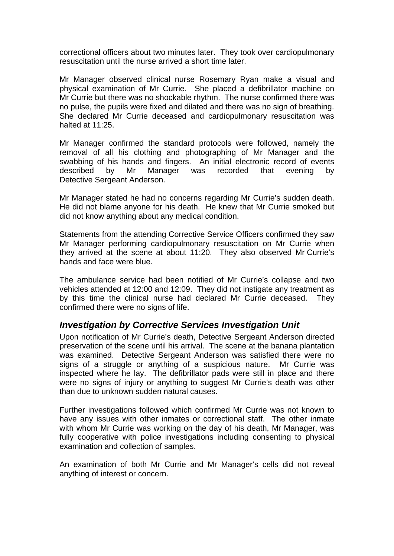correctional officers about two minutes later. They took over cardiopulmonary resuscitation until the nurse arrived a short time later.

Mr Manager observed clinical nurse Rosemary Ryan make a visual and physical examination of Mr Currie. She placed a defibrillator machine on Mr Currie but there was no shockable rhythm. The nurse confirmed there was no pulse, the pupils were fixed and dilated and there was no sign of breathing. She declared Mr Currie deceased and cardiopulmonary resuscitation was halted at 11:25.

Mr Manager confirmed the standard protocols were followed, namely the removal of all his clothing and photographing of Mr Manager and the swabbing of his hands and fingers. An initial electronic record of events described by Mr Manager was recorded that evening by Detective Sergeant Anderson.

Mr Manager stated he had no concerns regarding Mr Currie's sudden death. He did not blame anyone for his death. He knew that Mr Currie smoked but did not know anything about any medical condition.

Statements from the attending Corrective Service Officers confirmed they saw Mr Manager performing cardiopulmonary resuscitation on Mr Currie when they arrived at the scene at about 11:20. They also observed Mr Currie's hands and face were blue.

The ambulance service had been notified of Mr Currie's collapse and two vehicles attended at 12:00 and 12:09. They did not instigate any treatment as by this time the clinical nurse had declared Mr Currie deceased. They confirmed there were no signs of life.

#### *Investigation by Corrective Services Investigation Unit*

Upon notification of Mr Currie's death, Detective Sergeant Anderson directed preservation of the scene until his arrival. The scene at the banana plantation was examined. Detective Sergeant Anderson was satisfied there were no signs of a struggle or anything of a suspicious nature. Mr Currie was inspected where he lay. The defibrillator pads were still in place and there were no signs of injury or anything to suggest Mr Currie's death was other than due to unknown sudden natural causes.

Further investigations followed which confirmed Mr Currie was not known to have any issues with other inmates or correctional staff. The other inmate with whom Mr Currie was working on the day of his death, Mr Manager, was fully cooperative with police investigations including consenting to physical examination and collection of samples.

An examination of both Mr Currie and Mr Manager's cells did not reveal anything of interest or concern.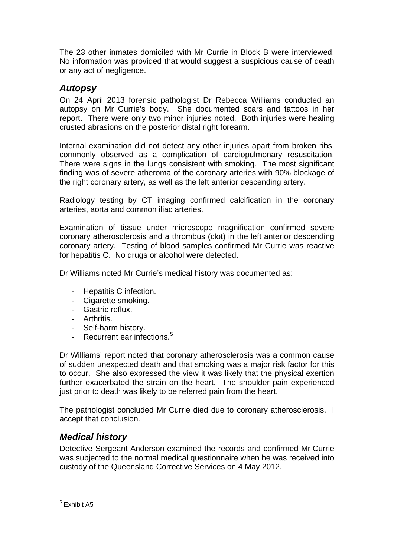The 23 other inmates domiciled with Mr Currie in Block B were interviewed. No information was provided that would suggest a suspicious cause of death or any act of negligence.

## *Autopsy*

On 24 April 2013 forensic pathologist Dr Rebecca Williams conducted an autopsy on Mr Currie's body. She documented scars and tattoos in her report. There were only two minor injuries noted. Both injuries were healing crusted abrasions on the posterior distal right forearm.

Internal examination did not detect any other injuries apart from broken ribs, commonly observed as a complication of cardiopulmonary resuscitation. There were signs in the lungs consistent with smoking. The most significant finding was of severe atheroma of the coronary arteries with 90% blockage of the right coronary artery, as well as the left anterior descending artery.

Radiology testing by CT imaging confirmed calcification in the coronary arteries, aorta and common iliac arteries.

Examination of tissue under microscope magnification confirmed severe coronary atherosclerosis and a thrombus (clot) in the left anterior descending coronary artery. Testing of blood samples confirmed Mr Currie was reactive for hepatitis C. No drugs or alcohol were detected.

Dr Williams noted Mr Currie's medical history was documented as:

- Hepatitis C infection.
- Cigarette smoking.
- Gastric reflux.
- Arthritis.
- Self-harm history.
- Recurrent ear infections.<sup>[5](#page-2-0)</sup>

Dr Williams' report noted that coronary atherosclerosis was a common cause of sudden unexpected death and that smoking was a major risk factor for this to occur. She also expressed the view it was likely that the physical exertion further exacerbated the strain on the heart. The shoulder pain experienced just prior to death was likely to be referred pain from the heart.

The pathologist concluded Mr Currie died due to coronary atherosclerosis. I accept that conclusion.

# *Medical history*

Detective Sergeant Anderson examined the records and confirmed Mr Currie was subjected to the normal medical questionnaire when he was received into custody of the Queensland Corrective Services on 4 May 2012.

<span id="page-4-0"></span> 5 Exhibit A5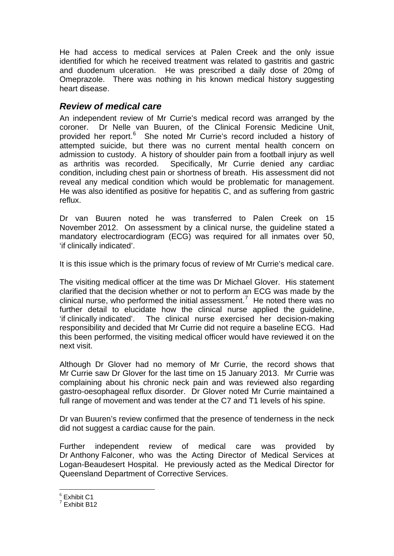He had access to medical services at Palen Creek and the only issue identified for which he received treatment was related to gastritis and gastric and duodenum ulceration. He was prescribed a daily dose of 20mg of Omeprazole. There was nothing in his known medical history suggesting heart disease.

#### *Review of medical care*

An independent review of Mr Currie's medical record was arranged by the coroner. Dr Nelle van Buuren, of the Clinical Forensic Medicine Unit, provided her report.<sup>[6](#page-4-0)</sup> She noted Mr Currie's record included a history of attempted suicide, but there was no current mental health concern on admission to custody. A history of shoulder pain from a football injury as well as arthritis was recorded. Specifically, Mr Currie denied any cardiac condition, including chest pain or shortness of breath. His assessment did not reveal any medical condition which would be problematic for management. He was also identified as positive for hepatitis C, and as suffering from gastric reflux.

Dr van Buuren noted he was transferred to Palen Creek on 15 November 2012. On assessment by a clinical nurse, the guideline stated a mandatory electrocardiogram (ECG) was required for all inmates over 50, 'if clinically indicated'.

It is this issue which is the primary focus of review of Mr Currie's medical care.

The visiting medical officer at the time was Dr Michael Glover. His statement clarified that the decision whether or not to perform an ECG was made by the clinical nurse, who performed the initial assessment.<sup>[7](#page-5-0)</sup> He noted there was no further detail to elucidate how the clinical nurse applied the guideline, 'if clinically indicated'. The clinical nurse exercised her decision-making responsibility and decided that Mr Currie did not require a baseline ECG. Had this been performed, the visiting medical officer would have reviewed it on the next visit.

Although Dr Glover had no memory of Mr Currie, the record shows that Mr Currie saw Dr Glover for the last time on 15 January 2013. Mr Currie was complaining about his chronic neck pain and was reviewed also regarding gastro-oesophageal reflux disorder. Dr Glover noted Mr Currie maintained a full range of movement and was tender at the C7 and T1 levels of his spine.

Dr van Buuren's review confirmed that the presence of tenderness in the neck did not suggest a cardiac cause for the pain.

Further independent review of medical care was provided by Dr Anthony Falconer, who was the Acting Director of Medical Services at Logan-Beaudesert Hospital. He previously acted as the Medical Director for Queensland Department of Corrective Services.

<sup>&</sup>lt;u>.</u>  $<sup>6</sup>$  Exhibit C1</sup>

<span id="page-5-1"></span><span id="page-5-0"></span><sup>7</sup> Exhibit B12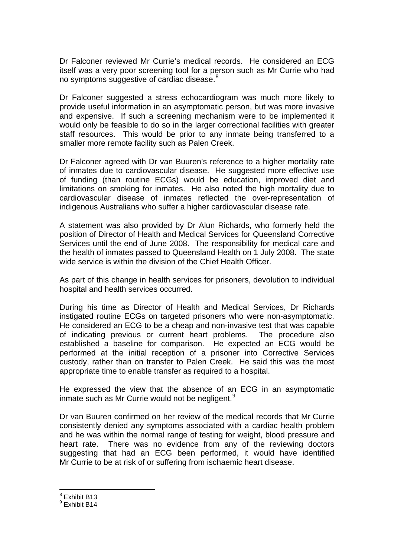Dr Falconer reviewed Mr Currie's medical records. He considered an ECG itself was a very poor screening tool for a person such as Mr Currie who had no symptoms suggestive of cardiac disease.<sup>[8](#page-5-1)</sup>

Dr Falconer suggested a stress echocardiogram was much more likely to provide useful information in an asymptomatic person, but was more invasive and expensive. If such a screening mechanism were to be implemented it would only be feasible to do so in the larger correctional facilities with greater staff resources. This would be prior to any inmate being transferred to a smaller more remote facility such as Palen Creek.

Dr Falconer agreed with Dr van Buuren's reference to a higher mortality rate of inmates due to cardiovascular disease. He suggested more effective use of funding (than routine ECGs) would be education, improved diet and limitations on smoking for inmates. He also noted the high mortality due to cardiovascular disease of inmates reflected the over-representation of indigenous Australians who suffer a higher cardiovascular disease rate.

A statement was also provided by Dr Alun Richards, who formerly held the position of Director of Health and Medical Services for Queensland Corrective Services until the end of June 2008. The responsibility for medical care and the health of inmates passed to Queensland Health on 1 July 2008. The state wide service is within the division of the Chief Health Officer.

As part of this change in health services for prisoners, devolution to individual hospital and health services occurred.

During his time as Director of Health and Medical Services, Dr Richards instigated routine ECGs on targeted prisoners who were non-asymptomatic. He considered an ECG to be a cheap and non-invasive test that was capable of indicating previous or current heart problems. The procedure also established a baseline for comparison. He expected an ECG would be performed at the initial reception of a prisoner into Corrective Services custody, rather than on transfer to Palen Creek. He said this was the most appropriate time to enable transfer as required to a hospital.

He expressed the view that the absence of an ECG in an asymptomatic inmate such as Mr Currie would not be negligent. $9$ 

Dr van Buuren confirmed on her review of the medical records that Mr Currie consistently denied any symptoms associated with a cardiac health problem and he was within the normal range of testing for weight, blood pressure and heart rate. There was no evidence from any of the reviewing doctors suggesting that had an ECG been performed, it would have identified Mr Currie to be at risk of or suffering from ischaemic heart disease.

<u>.</u>

<sup>8</sup> Exhibit B13

<span id="page-6-0"></span><sup>&</sup>lt;sup>9</sup> Exhibit B14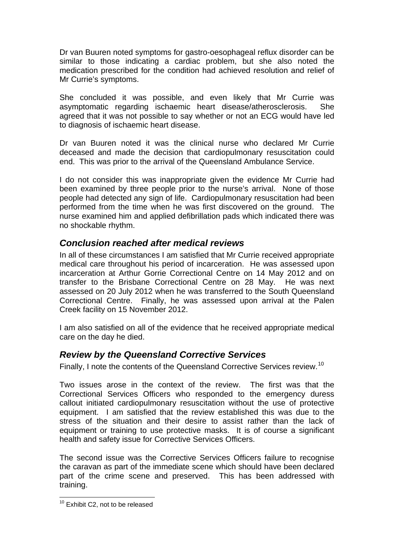Dr van Buuren noted symptoms for gastro-oesophageal reflux disorder can be similar to those indicating a cardiac problem, but she also noted the medication prescribed for the condition had achieved resolution and relief of Mr Currie's symptoms.

She concluded it was possible, and even likely that Mr Currie was asymptomatic regarding ischaemic heart disease/atherosclerosis. She agreed that it was not possible to say whether or not an ECG would have led to diagnosis of ischaemic heart disease.

Dr van Buuren noted it was the clinical nurse who declared Mr Currie deceased and made the decision that cardiopulmonary resuscitation could end. This was prior to the arrival of the Queensland Ambulance Service.

I do not consider this was inappropriate given the evidence Mr Currie had been examined by three people prior to the nurse's arrival. None of those people had detected any sign of life. Cardiopulmonary resuscitation had been performed from the time when he was first discovered on the ground. The nurse examined him and applied defibrillation pads which indicated there was no shockable rhythm.

#### *Conclusion reached after medical reviews*

In all of these circumstances I am satisfied that Mr Currie received appropriate medical care throughout his period of incarceration. He was assessed upon incarceration at Arthur Gorrie Correctional Centre on 14 May 2012 and on transfer to the Brisbane Correctional Centre on 28 May. He was next assessed on 20 July 2012 when he was transferred to the South Queensland Correctional Centre. Finally, he was assessed upon arrival at the Palen Creek facility on 15 November 2012.

I am also satisfied on all of the evidence that he received appropriate medical care on the day he died.

#### *Review by the Queensland Corrective Services*

Finally, I note the contents of the Queensland Corrective Services review.<sup>[10](#page-6-0)</sup>

Two issues arose in the context of the review. The first was that the Correctional Services Officers who responded to the emergency duress callout initiated cardiopulmonary resuscitation without the use of protective equipment. I am satisfied that the review established this was due to the stress of the situation and their desire to assist rather than the lack of equipment or training to use protective masks. It is of course a significant health and safety issue for Corrective Services Officers.

The second issue was the Corrective Services Officers failure to recognise the caravan as part of the immediate scene which should have been declared part of the crime scene and preserved. This has been addressed with training.

1

<sup>&</sup>lt;sup>10</sup> Exhibit C2, not to be released